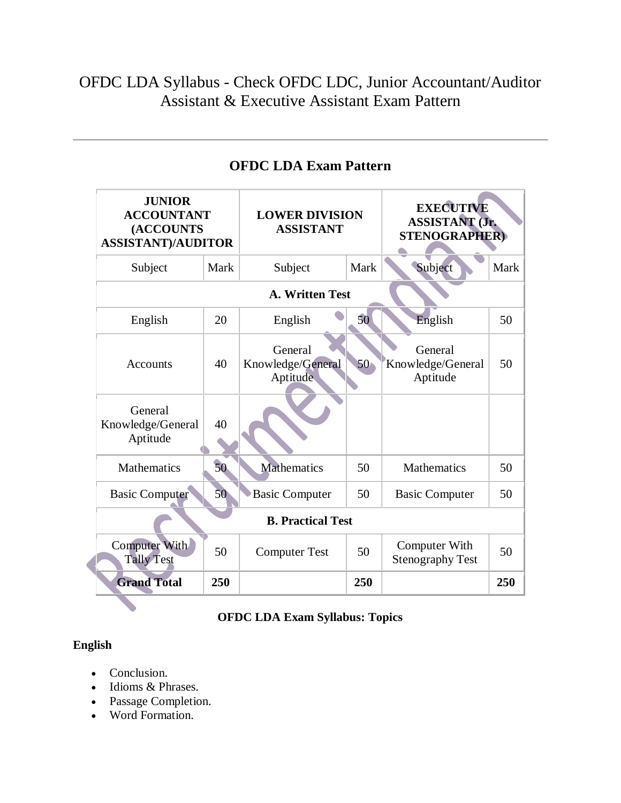# OFDC LDA Syllabus - Check OFDC LDC, Junior Accountant/Auditor Assistant & Executive Assistant Exam Pattern

| <b>JUNIOR</b><br><b>ACCOUNTANT</b><br><b>(ACCOUNTS</b><br><b>ASSISTANT)/AUDITOR</b> |      | <b>LOWER DIVISION</b><br><b>ASSISTANT</b> |                 | <b>EXECUTIVE</b><br><b>ASSISTANT (Jr.</b><br><b>STENOGRAPHER)</b> |      |
|-------------------------------------------------------------------------------------|------|-------------------------------------------|-----------------|-------------------------------------------------------------------|------|
| Subject                                                                             | Mark | Subject                                   | <b>Mark</b>     | Subject                                                           | Mark |
|                                                                                     |      | A. Written Test                           |                 |                                                                   |      |
| English                                                                             | 20   | English                                   | 50              | English                                                           | 50   |
| <b>Accounts</b>                                                                     | 40   | General<br>Knowledge/General<br>Aptitude  | 50 <sub>1</sub> | General<br>Knowledge/General<br>Aptitude                          | 50   |
| General<br>Knowledge/General<br>Aptitude                                            | 40   |                                           |                 |                                                                   |      |
| Mathematics                                                                         | 50   | <b>Mathematics</b>                        | 50              | <b>Mathematics</b>                                                | 50   |
| <b>Basic Computer</b>                                                               | 50   | <b>Basic Computer</b>                     | 50              | <b>Basic Computer</b>                                             | 50   |
|                                                                                     |      | <b>B. Practical Test</b>                  |                 |                                                                   |      |
| Computer With<br><b>Tally Test</b>                                                  | 50   | <b>Computer Test</b>                      | 50              | Computer With<br><b>Stenography Test</b>                          | 50   |
| <b>Grand Total</b>                                                                  | 250  |                                           | 250             |                                                                   | 250  |

# **OFDC LDA Exam Pattern**

## **OFDC LDA Exam Syllabus: Topics**

### **English**

- Conclusion.
- Idioms & Phrases.
- Passage Completion.
- Word Formation.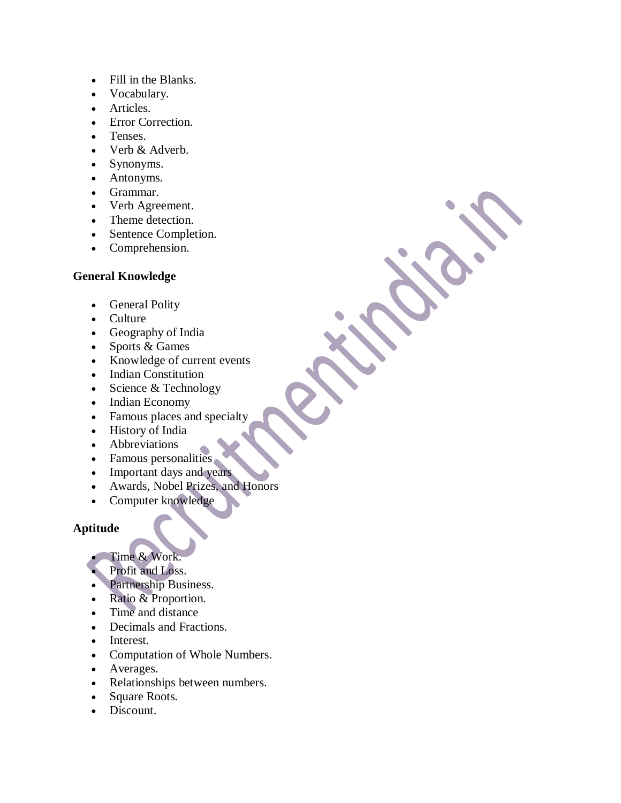- Fill in the Blanks.
- Vocabulary.
- Articles.
- Error Correction.
- Tenses.
- Verb & Adverb.
- Synonyms.
- Antonyms.
- Grammar.
- Verb Agreement.
- Theme detection.
- Sentence Completion.
- Comprehension.

#### **General Knowledge**

- General Polity
- Culture
- Geography of India
- Sports & Games
- Knowledge of current events
- Indian Constitution
- Science  $&$  Technology
- Indian Economy
- Famous places and specialty
- History of India
- Abbreviations
- Famous personalities
- Important days and years
- Awards, Nobel Prizes, and Honors
- Computer knowledge

#### **Aptitude**

- Time & Work.
- Profit and Loss.
- Partnership Business.
- Ratio & Proportion.
- Time and distance
- Decimals and Fractions.
- Interest.
- Computation of Whole Numbers.
- Averages.
- Relationships between numbers.
- Square Roots.
- Discount.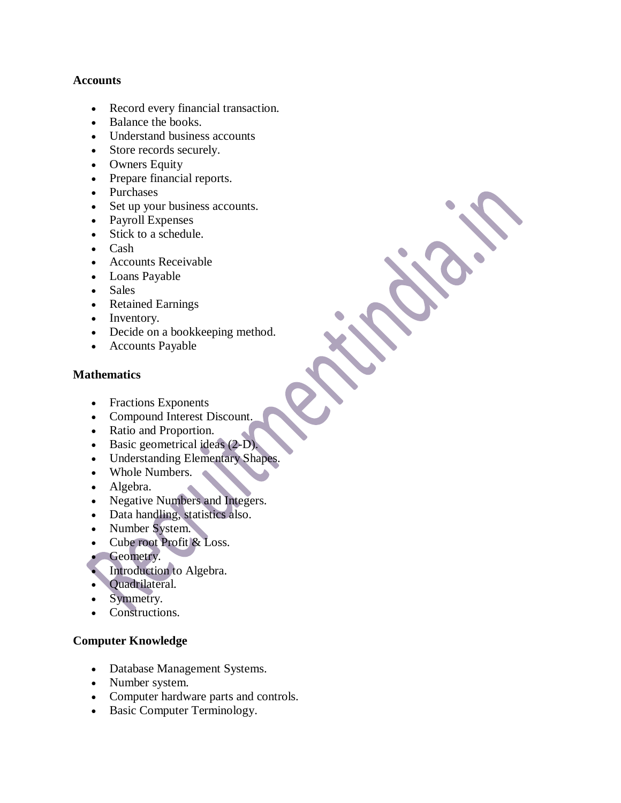#### **Accounts**

- Record every financial transaction.
- Balance the books.
- Understand business accounts
- Store records securely.
- Owners Equity
- Prepare financial reports.
- Purchases
- Set up your business accounts.
- Payroll Expenses
- Stick to a schedule.
- Cash
- Accounts Receivable
- Loans Payable
- Sales
- Retained Earnings
- Inventory.
- Decide on a bookkeeping method.
- Accounts Payable

#### **Mathematics**

- Fractions Exponents
- Compound Interest Discount.
- Ratio and Proportion.
- Basic geometrical ideas (2-D).
- Understanding Elementary Shapes.
- Whole Numbers.
- Algebra.
- Negative Numbers and Integers.
- Data handling, statistics also.
- Number System.
- Cube root Profit & Loss.
- Geometry.
- Introduction to Algebra.
- Quadrilateral.
- Symmetry.
- Constructions.

#### **Computer Knowledge**

- Database Management Systems.
- Number system.
- Computer hardware parts and controls.
- Basic Computer Terminology.